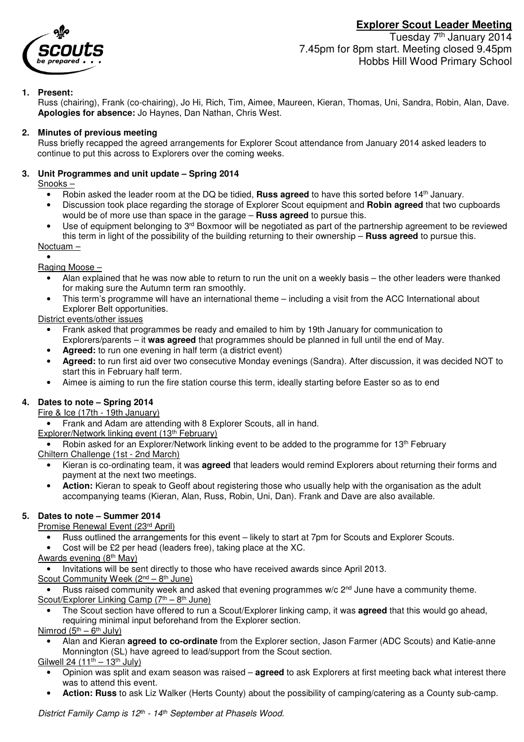



Tuesday 7<sup>th</sup> January 2014 7.45pm for 8pm start. Meeting closed 9.45pm Hobbs Hill Wood Primary School

## **1. Present:**

Russ (chairing), Frank (co-chairing), Jo Hi, Rich, Tim, Aimee, Maureen, Kieran, Thomas, Uni, Sandra, Robin, Alan, Dave. **Apologies for absence:** Jo Haynes, Dan Nathan, Chris West.

#### **2. Minutes of previous meeting**

Russ briefly recapped the agreed arrangements for Explorer Scout attendance from January 2014 asked leaders to continue to put this across to Explorers over the coming weeks.

#### **3. Unit Programmes and unit update – Spring 2014**

#### Snooks –

- Robin asked the leader room at the DQ be tidied, **Russ agreed** to have this sorted before 14<sup>th</sup> January.
- Discussion took place regarding the storage of Explorer Scout equipment and **Robin agreed** that two cupboards would be of more use than space in the garage – **Russ agreed** to pursue this.
- Use of equipment belonging to 3<sup>rd</sup> Boxmoor will be negotiated as part of the partnership agreement to be reviewed this term in light of the possibility of the building returning to their ownership – **Russ agreed** to pursue this.

#### Noctuam – •

### Raging Moose –

- Alan explained that he was now able to return to run the unit on a weekly basis the other leaders were thanked for making sure the Autumn term ran smoothly.
- This term's programme will have an international theme including a visit from the ACC International about Explorer Belt opportunities.

### District events/other issues

- Frank asked that programmes be ready and emailed to him by 19th January for communication to Explorers/parents – it **was agreed** that programmes should be planned in full until the end of May.
- **Agreed:** to run one evening in half term (a district event)
- **Agreed:** to run first aid over two consecutive Monday evenings (Sandra). After discussion, it was decided NOT to start this in February half term.
- Aimee is aiming to run the fire station course this term, ideally starting before Easter so as to end

# **4. Dates to note – Spring 2014**

#### Fire & Ice (17th - 19th January)

• Frank and Adam are attending with 8 Explorer Scouts, all in hand.

Explorer/Network linking event (13<sup>th</sup> February)

• Robin asked for an Explorer/Network linking event to be added to the programme for 13<sup>th</sup> February Chiltern Challenge (1st - 2nd March)

- Kieran is co-ordinating team, it was **agreed** that leaders would remind Explorers about returning their forms and payment at the next two meetings.
- **Action:** Kieran to speak to Geoff about registering those who usually help with the organisation as the adult accompanying teams (Kieran, Alan, Russ, Robin, Uni, Dan). Frank and Dave are also available.

### **5. Dates to note – Summer 2014**

### Promise Renewal Event (23rd April)

- Russ outlined the arrangements for this event likely to start at 7pm for Scouts and Explorer Scouts.
- Cost will be £2 per head (leaders free), taking place at the XC.

### Awards evening (8<sup>th</sup> May)

• Invitations will be sent directly to those who have received awards since April 2013.

Scout Community Week  $(2^{nd} – 8^{th}$  June)

• Russ raised community week and asked that evening programmes  $w/c$   $2<sup>nd</sup>$  June have a community theme. Scout/Explorer Linking Camp  $(7<sup>th</sup> - 8<sup>th</sup>$  June)

- The Scout section have offered to run a Scout/Explorer linking camp, it was **agreed** that this would go ahead, requiring minimal input beforehand from the Explorer section.
- Nimrod  $(5<sup>th</sup> 6<sup>th</sup>$  July)
	- Alan and Kieran **agreed to co-ordinate** from the Explorer section, Jason Farmer (ADC Scouts) and Katie-anne Monnington (SL) have agreed to lead/support from the Scout section.

### Gilwell 24 (11<sup>th</sup> – 13<sup>th</sup> July)

- Opinion was split and exam season was raised **agreed** to ask Explorers at first meeting back what interest there was to attend this event.
- **Action: Russ** to ask Liz Walker (Herts County) about the possibility of camping/catering as a County sub-camp.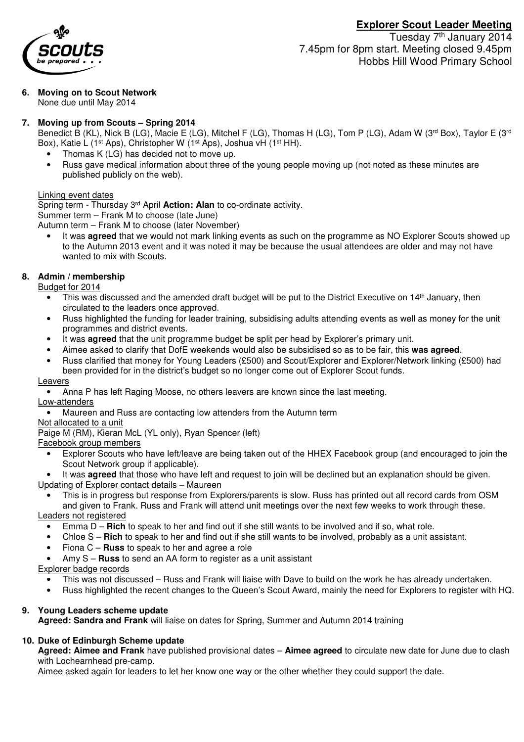

Tuesday 7<sup>th</sup> January 2014 7.45pm for 8pm start. Meeting closed 9.45pm Hobbs Hill Wood Primary School

**6. Moving on to Scout Network**  None due until May 2014

## **7. Moving up from Scouts – Spring 2014**

Benedict B (KL), Nick B (LG), Macie E (LG), Mitchel F (LG), Thomas H (LG), Tom P (LG), Adam W (3<sup>rd</sup> Box), Taylor E (3<sup>rd</sup> Box), Katie L (1<sup>st</sup> Aps), Christopher W (1<sup>st</sup> Aps), Joshua vH (1<sup>st</sup> HH).

- Thomas K (LG) has decided not to move up.
- Russ gave medical information about three of the young people moving up (not noted as these minutes are published publicly on the web).

#### Linking event dates

Spring term - Thursday 3rd April **Action: Alan** to co-ordinate activity. Summer term – Frank M to choose (late June)

Autumn term – Frank M to choose (later November)

• It was **agreed** that we would not mark linking events as such on the programme as NO Explorer Scouts showed up to the Autumn 2013 event and it was noted it may be because the usual attendees are older and may not have wanted to mix with Scouts.

#### **8. Admin / membership**

Budget for 2014

- This was discussed and the amended draft budget will be put to the District Executive on 14<sup>th</sup> January, then circulated to the leaders once approved.
- Russ highlighted the funding for leader training, subsidising adults attending events as well as money for the unit programmes and district events.
- It was **agreed** that the unit programme budget be split per head by Explorer's primary unit.
- Aimee asked to clarify that DofE weekends would also be subsidised so as to be fair, this **was agreed**.
- Russ clarified that money for Young Leaders (£500) and Scout/Explorer and Explorer/Network linking (£500) had been provided for in the district's budget so no longer come out of Explorer Scout funds.

#### Leavers

- Anna P has left Raging Moose, no others leavers are known since the last meeting.
- Low-attenders
- Maureen and Russ are contacting low attenders from the Autumn term

#### Not allocated to a unit

Paige M (RM), Kieran McL (YL only), Ryan Spencer (left)

#### Facebook group members

- Explorer Scouts who have left/leave are being taken out of the HHEX Facebook group (and encouraged to join the Scout Network group if applicable).
- It was **agreed** that those who have left and request to join will be declined but an explanation should be given. Updating of Explorer contact details – Maureen
- This is in progress but response from Explorers/parents is slow. Russ has printed out all record cards from OSM and given to Frank. Russ and Frank will attend unit meetings over the next few weeks to work through these. Leaders not registered
- Emma D **Rich** to speak to her and find out if she still wants to be involved and if so, what role.
	- Chloe S **Rich** to speak to her and find out if she still wants to be involved, probably as a unit assistant.
- Fiona C **Russ** to speak to her and agree a role
- Amy S **Russ** to send an AA form to register as a unit assistant

#### Explorer badge records

- This was not discussed Russ and Frank will liaise with Dave to build on the work he has already undertaken.
- Russ highlighted the recent changes to the Queen's Scout Award, mainly the need for Explorers to register with HQ.

### **9. Young Leaders scheme update**

**Agreed: Sandra and Frank** will liaise on dates for Spring, Summer and Autumn 2014 training

# **10. Duke of Edinburgh Scheme update**

**Agreed: Aimee and Frank** have published provisional dates – **Aimee agreed** to circulate new date for June due to clash with Lochearnhead pre-camp.

Aimee asked again for leaders to let her know one way or the other whether they could support the date.